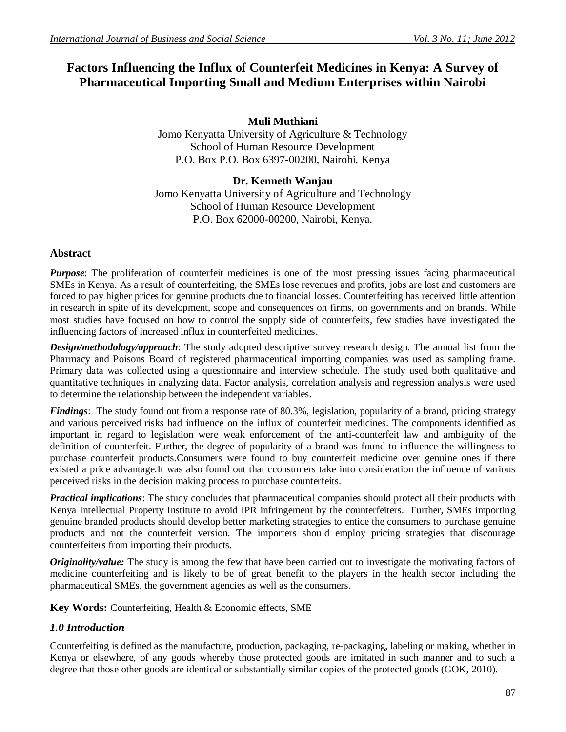# **Factors Influencing the Influx of Counterfeit Medicines in Kenya: A Survey of Pharmaceutical Importing Small and Medium Enterprises within Nairobi**

**Muli Muthiani** Jomo Kenyatta University of Agriculture & Technology School of Human Resource Development P.O. Box P.O. Box 6397-00200, Nairobi, Kenya

## **Dr. Kenneth Wanjau**  Jomo Kenyatta University of Agriculture and Technology School of Human Resource Development P.O. Box 62000-00200, Nairobi, Kenya.

## **Abstract**

*Purpose*: The proliferation of counterfeit medicines is one of the most pressing issues facing pharmaceutical SMEs in Kenya. As a result of counterfeiting, the SMEs lose revenues and profits, jobs are lost and customers are forced to pay higher prices for genuine products due to financial losses. Counterfeiting has received little attention in research in spite of its development, scope and consequences on firms, on governments and on brands. While most studies have focused on how to control the supply side of counterfeits, few studies have investigated the influencing factors of increased influx in counterfeited medicines.

*Design/methodology/approach*: The study adopted descriptive survey research design. The annual list from the Pharmacy and Poisons Board of registered pharmaceutical importing companies was used as sampling frame. Primary data was collected using a questionnaire and interview schedule. The study used both qualitative and quantitative techniques in analyzing data. Factor analysis, correlation analysis and regression analysis were used to determine the relationship between the independent variables.

*Findings*: The study found out from a response rate of 80.3%, legislation, popularity of a brand, pricing strategy and various perceived risks had influence on the influx of counterfeit medicines. The components identified as important in regard to legislation were weak enforcement of the anti-counterfeit law and ambiguity of the definition of counterfeit. Further, the degree of popularity of a brand was found to influence the willingness to purchase counterfeit products.Consumers were found to buy counterfeit medicine over genuine ones if there existed a price advantage.It was also found out that cconsumers take into consideration the influence of various perceived risks in the decision making process to purchase counterfeits.

*Practical implications*: The study concludes that pharmaceutical companies should protect all their products with Kenya Intellectual Property Institute to avoid IPR infringement by the counterfeiters. Further, SMEs importing genuine branded products should develop better marketing strategies to entice the consumers to purchase genuine products and not the counterfeit version. The importers should employ pricing strategies that discourage counterfeiters from importing their products.

*Originality/value:* The study is among the few that have been carried out to investigate the motivating factors of medicine counterfeiting and is likely to be of great benefit to the players in the health sector including the pharmaceutical SMEs, the government agencies as well as the consumers.

**Key Words:** Counterfeiting, Health & Economic effects, SME

## *1.0 Introduction*

Counterfeiting is defined as the manufacture, production, packaging, re-packaging, labeling or making, whether in Kenya or elsewhere, of any goods whereby those protected goods are imitated in such manner and to such a degree that those other goods are identical or substantially similar copies of the protected goods (GOK, 2010).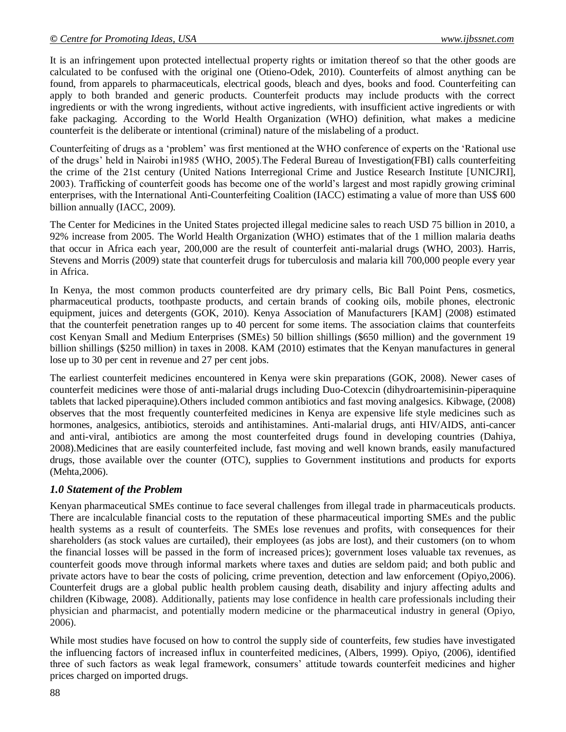It is an infringement upon protected intellectual property rights or imitation thereof so that the other goods are calculated to be confused with the original one (Otieno-Odek, 2010). Counterfeits of almost anything can be found, from apparels to pharmaceuticals, electrical goods, bleach and dyes, books and food. Counterfeiting can apply to both branded and generic products. Counterfeit products may include products with the correct ingredients or with the wrong ingredients, without active ingredients, with insufficient active ingredients or with fake packaging. According to the World Health Organization (WHO) definition, what makes a medicine counterfeit is the deliberate or intentional (criminal) nature of the mislabeling of a product.

Counterfeiting of drugs as a "problem" was first mentioned at the WHO conference of experts on the "Rational use of the drugs" held in Nairobi in1985 (WHO, 2005).The Federal Bureau of Investigation(FBI) calls counterfeiting the crime of the 21st century (United Nations Interregional Crime and Justice Research Institute [UNICJRI], 2003). Trafficking of counterfeit goods has become one of the world"s largest and most rapidly growing criminal enterprises, with the International Anti-Counterfeiting Coalition (IACC) estimating a value of more than US\$ 600 billion annually (IACC, 2009).

The Center for Medicines in the United States projected illegal medicine sales to reach USD 75 billion in 2010, a 92% increase from 2005. The World Health Organization (WHO) estimates that of the 1 million malaria deaths that occur in Africa each year, 200,000 are the result of counterfeit anti-malarial drugs (WHO, 2003). Harris, Stevens and Morris (2009) state that counterfeit drugs for tuberculosis and malaria kill 700,000 people every year in Africa.

In Kenya, the most common products counterfeited are dry primary cells, Bic Ball Point Pens, cosmetics, pharmaceutical products, toothpaste products, and certain brands of cooking oils, mobile phones, electronic equipment, juices and detergents (GOK, 2010). Kenya Association of Manufacturers [KAM] (2008) estimated that the counterfeit penetration ranges up to 40 percent for some items. The association claims that counterfeits cost Kenyan Small and Medium Enterprises (SMEs) 50 billion shillings (\$650 million) and the government 19 billion shillings (\$250 million) in taxes in 2008. KAM (2010) estimates that the Kenyan manufactures in general lose up to 30 per cent in revenue and 27 per cent jobs.

The earliest counterfeit medicines encountered in Kenya were skin preparations (GOK, 2008). Newer cases of counterfeit medicines were those of anti-malarial drugs including Duo-Cotexcin (dihydroartemisinin-piperaquine tablets that lacked piperaquine).Others included common antibiotics and fast moving analgesics. Kibwage, (2008) observes that the most frequently counterfeited medicines in Kenya are expensive life style medicines such as hormones, analgesics, antibiotics, steroids and antihistamines. Anti-malarial drugs, anti HIV/AIDS, anti-cancer and anti-viral, antibiotics are among the most counterfeited drugs found in developing countries (Dahiya, 2008).Medicines that are easily counterfeited include, fast moving and well known brands, easily manufactured drugs, those available over the counter (OTC), supplies to Government institutions and products for exports (Mehta,2006).

## *1.0 Statement of the Problem*

Kenyan pharmaceutical SMEs continue to face several challenges from illegal trade in pharmaceuticals products. There are incalculable financial costs to the reputation of these pharmaceutical importing SMEs and the public health systems as a result of counterfeits. The SMEs lose revenues and profits, with consequences for their shareholders (as stock values are curtailed), their employees (as jobs are lost), and their customers (on to whom the financial losses will be passed in the form of increased prices); government loses valuable tax revenues, as counterfeit goods move through informal markets where taxes and duties are seldom paid; and both public and private actors have to bear the costs of policing, crime prevention, detection and law enforcement (Opiyo,2006). Counterfeit drugs are a global public health problem causing death, disability and injury affecting adults and children (Kibwage, 2008). Additionally, patients may lose confidence in health care professionals including their physician and pharmacist, and potentially modern medicine or the pharmaceutical industry in general (Opiyo, 2006).

While most studies have focused on how to control the supply side of counterfeits, few studies have investigated the influencing factors of increased influx in counterfeited medicines, (Albers, 1999). Opiyo, (2006), identified three of such factors as weak legal framework, consumers" attitude towards counterfeit medicines and higher prices charged on imported drugs.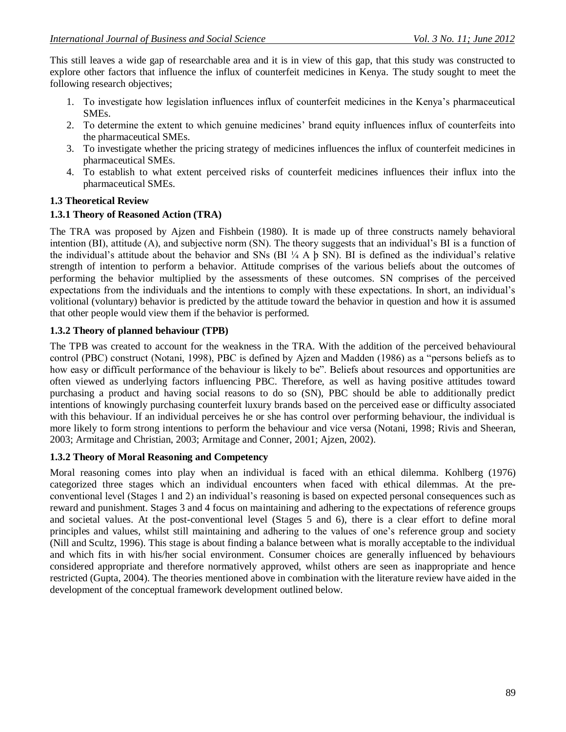This still leaves a wide gap of researchable area and it is in view of this gap, that this study was constructed to explore other factors that influence the influx of counterfeit medicines in Kenya. The study sought to meet the following research objectives;

- 1. To investigate how legislation influences influx of counterfeit medicines in the Kenya"s pharmaceutical SMEs.
- 2. To determine the extent to which genuine medicines" brand equity influences influx of counterfeits into the pharmaceutical SMEs.
- 3. To investigate whether the pricing strategy of medicines influences the influx of counterfeit medicines in pharmaceutical SMEs.
- 4. To establish to what extent perceived risks of counterfeit medicines influences their influx into the pharmaceutical SMEs.

## **1.3 Theoretical Review**

## **1.3.1 Theory of Reasoned Action (TRA)**

The TRA was proposed by Ajzen and Fishbein (1980). It is made up of three constructs namely behavioral intention (BI), attitude (A), and subjective norm (SN). The theory suggests that an individual"s BI is a function of the individual's attitude about the behavior and SNs (BI $\frac{1}{4}$  A  $\frac{1}{4}$  SN). BI is defined as the individual's relative strength of intention to perform a behavior. Attitude comprises of the various beliefs about the outcomes of performing the behavior multiplied by the assessments of these outcomes. SN comprises of the perceived expectations from the individuals and the intentions to comply with these expectations. In short, an individual"s volitional (voluntary) behavior is predicted by the attitude toward the behavior in question and how it is assumed that other people would view them if the behavior is performed.

## **1.3.2 Theory of planned behaviour (TPB)**

The TPB was created to account for the weakness in the TRA. With the addition of the perceived behavioural control (PBC) construct (Notani, 1998), PBC is defined by Ajzen and Madden (1986) as a "persons beliefs as to how easy or difficult performance of the behaviour is likely to be". Beliefs about resources and opportunities are often viewed as underlying factors influencing PBC. Therefore, as well as having positive attitudes toward purchasing a product and having social reasons to do so (SN), PBC should be able to additionally predict intentions of knowingly purchasing counterfeit luxury brands based on the perceived ease or difficulty associated with this behaviour. If an individual perceives he or she has control over performing behaviour, the individual is more likely to form strong intentions to perform the behaviour and vice versa (Notani, 1998; Rivis and Sheeran, 2003; Armitage and Christian, 2003; Armitage and Conner, 2001; Ajzen, 2002).

#### **1.3.2 Theory of Moral Reasoning and Competency**

Moral reasoning comes into play when an individual is faced with an ethical dilemma. Kohlberg (1976) categorized three stages which an individual encounters when faced with ethical dilemmas. At the preconventional level (Stages 1 and 2) an individual"s reasoning is based on expected personal consequences such as reward and punishment. Stages 3 and 4 focus on maintaining and adhering to the expectations of reference groups and societal values. At the post-conventional level (Stages 5 and 6), there is a clear effort to define moral principles and values, whilst still maintaining and adhering to the values of one"s reference group and society (Nill and Scultz, 1996). This stage is about finding a balance between what is morally acceptable to the individual and which fits in with his/her social environment. Consumer choices are generally influenced by behaviours considered appropriate and therefore normatively approved, whilst others are seen as inappropriate and hence restricted (Gupta, 2004). The theories mentioned above in combination with the literature review have aided in the development of the conceptual framework development outlined below.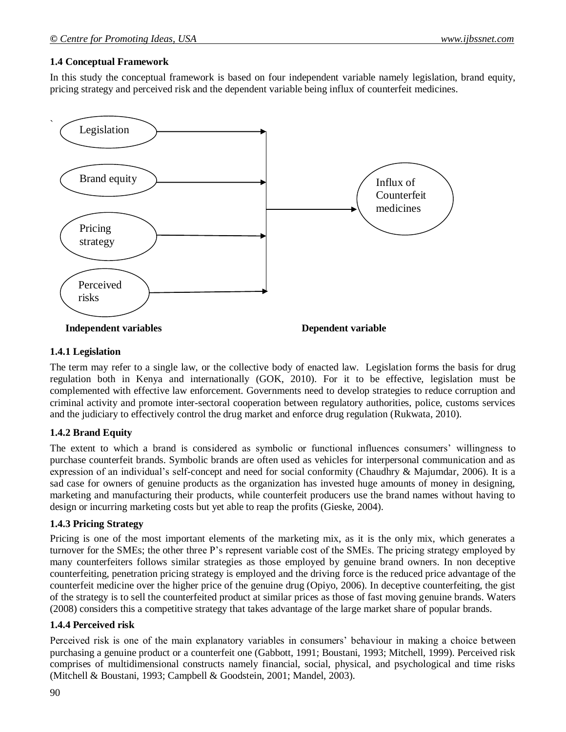#### **1.4 Conceptual Framework**

In this study the conceptual framework is based on four independent variable namely legislation, brand equity, pricing strategy and perceived risk and the dependent variable being influx of counterfeit medicines.



### **1.4.1 Legislation**

The term may refer to a single law, or the collective body of enacted law. Legislation forms the basis for drug regulation both in Kenya and internationally (GOK, 2010). For it to be effective, legislation must be complemented with effective law enforcement. Governments need to develop strategies to reduce corruption and criminal activity and promote inter-sectoral cooperation between regulatory authorities, police, customs services and the judiciary to effectively control the drug market and enforce drug regulation (Rukwata, 2010).

## **1.4.2 Brand Equity**

The extent to which a brand is considered as symbolic or functional influences consumers" willingness to purchase counterfeit brands. Symbolic brands are often used as vehicles for interpersonal communication and as expression of an individual"s self-concept and need for social conformity (Chaudhry & Majumdar, 2006). It is a sad case for owners of genuine products as the organization has invested huge amounts of money in designing, marketing and manufacturing their products, while counterfeit producers use the brand names without having to design or incurring marketing costs but yet able to reap the profits (Gieske, 2004).

#### **1.4.3 Pricing Strategy**

Pricing is one of the most important elements of the marketing mix, as it is the only mix, which generates a turnover for the SMEs; the other three P"s represent variable cost of the SMEs. The pricing strategy employed by many counterfeiters follows similar strategies as those employed by genuine brand owners. In non deceptive counterfeiting, penetration pricing strategy is employed and the driving force is the reduced price advantage of the counterfeit medicine over the higher price of the genuine drug (Opiyo, 2006). In deceptive counterfeiting, the gist of the strategy is to sell the counterfeited product at similar prices as those of fast moving genuine brands. Waters (2008) considers this a competitive strategy that takes advantage of the large market share of popular brands.

## **1.4.4 Perceived risk**

Perceived risk is one of the main explanatory variables in consumers' behaviour in making a choice between purchasing a genuine product or a counterfeit one (Gabbott, 1991; Boustani, 1993; Mitchell, 1999). Perceived risk comprises of multidimensional constructs namely financial, social, physical, and psychological and time risks (Mitchell & Boustani, 1993; Campbell & Goodstein, 2001; Mandel, 2003).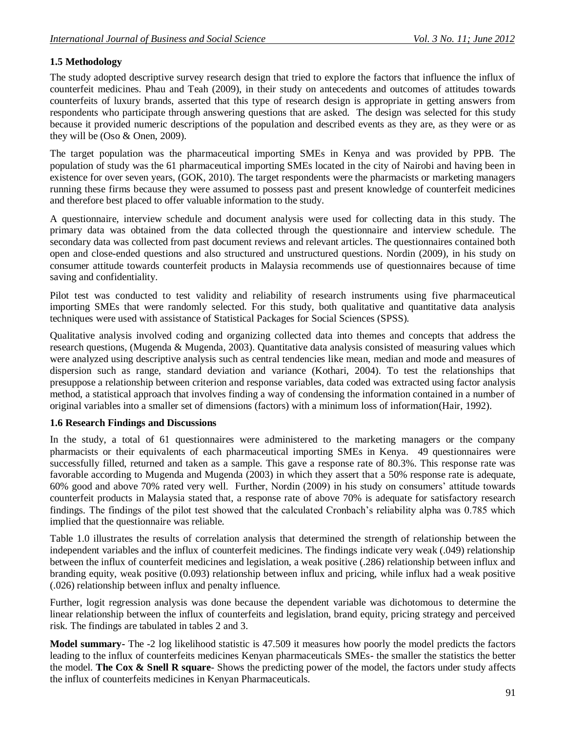## **1.5 Methodology**

The study adopted descriptive survey research design that tried to explore the factors that influence the influx of counterfeit medicines. Phau and Teah (2009), in their study on antecedents and outcomes of attitudes towards counterfeits of luxury brands, asserted that this type of research design is appropriate in getting answers from respondents who participate through answering questions that are asked. The design was selected for this study because it provided numeric descriptions of the population and described events as they are, as they were or as they will be (Oso & Onen, 2009).

The target population was the pharmaceutical importing SMEs in Kenya and was provided by PPB. The population of study was the 61 pharmaceutical importing SMEs located in the city of Nairobi and having been in existence for over seven years, (GOK, 2010). The target respondents were the pharmacists or marketing managers running these firms because they were assumed to possess past and present knowledge of counterfeit medicines and therefore best placed to offer valuable information to the study.

A questionnaire, interview schedule and document analysis were used for collecting data in this study. The primary data was obtained from the data collected through the questionnaire and interview schedule. The secondary data was collected from past document reviews and relevant articles. The questionnaires contained both open and close-ended questions and also structured and unstructured questions. Nordin (2009), in his study on consumer attitude towards counterfeit products in Malaysia recommends use of questionnaires because of time saving and confidentiality.

Pilot test was conducted to test validity and reliability of research instruments using five pharmaceutical importing SMEs that were randomly selected. For this study, both qualitative and quantitative data analysis techniques were used with assistance of Statistical Packages for Social Sciences (SPSS).

Qualitative analysis involved coding and organizing collected data into themes and concepts that address the research questions, (Mugenda & Mugenda, 2003). Quantitative data analysis consisted of measuring values which were analyzed using descriptive analysis such as central tendencies like mean, median and mode and measures of dispersion such as range, standard deviation and variance (Kothari, 2004). To test the relationships that presuppose a relationship between criterion and response variables, data coded was extracted using factor analysis method, a statistical approach that involves finding a way of condensing the information contained in a number of original variables into a smaller set of dimensions (factors) with a minimum loss of informatio[n\(Hair, 1992\).](http://www.socialresearchmethods.net/tutorial/Flynn/refer.htm)

## **1.6 Research Findings and Discussions**

In the study, a total of 61 questionnaires were administered to the marketing managers or the company pharmacists or their equivalents of each pharmaceutical importing SMEs in Kenya. 49 questionnaires were successfully filled, returned and taken as a sample. This gave a response rate of 80.3%. This response rate was favorable according to Mugenda and Mugenda (2003) in which they assert that a 50% response rate is adequate, 60% good and above 70% rated very well. Further, Nordin (2009) in his study on consumers" attitude towards counterfeit products in Malaysia stated that, a response rate of above 70% is adequate for satisfactory research findings. The findings of the pilot test showed that the calculated Cronbach"s reliability alpha was 0.785 which implied that the questionnaire was reliable.

Table 1.0 illustrates the results of correlation analysis that determined the strength of relationship between the independent variables and the influx of counterfeit medicines. The findings indicate very weak (.049) relationship between the influx of counterfeit medicines and legislation, a weak positive (.286) relationship between influx and branding equity, weak positive (0.093) relationship between influx and pricing, while influx had a weak positive (.026) relationship between influx and penalty influence.

Further, logit regression analysis was done because the dependent variable was dichotomous to determine the linear relationship between the influx of counterfeits and legislation, brand equity, pricing strategy and perceived risk. The findings are tabulated in tables 2 and 3.

**Model summary-** The -2 log likelihood statistic is 47.509 it measures how poorly the model predicts the factors leading to the influx of counterfeits medicines Kenyan pharmaceuticals SMEs- the smaller the statistics the better the model. **The Cox & Snell R square**- Shows the predicting power of the model, the factors under study affects the influx of counterfeits medicines in Kenyan Pharmaceuticals.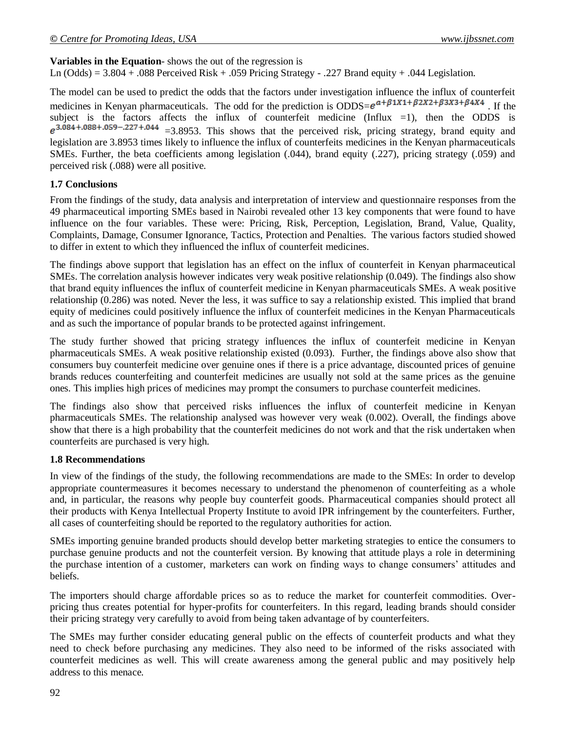## **Variables in the Equation**- shows the out of the regression is

Ln (Odds) =  $3.804 + .088$  Perceived Risk + .059 Pricing Strategy - .227 Brand equity + .044 Legislation.

The model can be used to predict the odds that the factors under investigation influence the influx of counterfeit medicines in Kenyan pharmaceuticals. The odd for the prediction is ODDS= $e^{a+\beta 1X1+\beta 2X2+\beta 3X3+\beta 4X4}$ . If the subject is the factors affects the influx of counterfeit medicine (Influx  $=1$ ), then the ODDS is  $e^{3.084 + .088 + .059 - .227 + .044}$  =3.8953. This shows that the perceived risk, pricing strategy, brand equity and legislation are 3.8953 times likely to influence the influx of counterfeits medicines in the Kenyan pharmaceuticals SMEs. Further, the beta coefficients among legislation (.044), brand equity (.227), pricing strategy (.059) and perceived risk (.088) were all positive.

### **1.7 Conclusions**

From the findings of the study, data analysis and interpretation of interview and questionnaire responses from the 49 pharmaceutical importing SMEs based in Nairobi revealed other 13 key components that were found to have influence on the four variables. These were: Pricing, Risk, Perception, Legislation, Brand, Value, Quality, Complaints, Damage, Consumer Ignorance, Tactics, Protection and Penalties. The various factors studied showed to differ in extent to which they influenced the influx of counterfeit medicines.

The findings above support that legislation has an effect on the influx of counterfeit in Kenyan pharmaceutical SMEs. The correlation analysis however indicates very weak positive relationship (0.049). The findings also show that brand equity influences the influx of counterfeit medicine in Kenyan pharmaceuticals SMEs. A weak positive relationship (0.286) was noted. Never the less, it was suffice to say a relationship existed. This implied that brand equity of medicines could positively influence the influx of counterfeit medicines in the Kenyan Pharmaceuticals and as such the importance of popular brands to be protected against infringement.

The study further showed that pricing strategy influences the influx of counterfeit medicine in Kenyan pharmaceuticals SMEs. A weak positive relationship existed (0.093). Further, the findings above also show that consumers buy counterfeit medicine over genuine ones if there is a price advantage, discounted prices of genuine brands reduces counterfeiting and counterfeit medicines are usually not sold at the same prices as the genuine ones. This implies high prices of medicines may prompt the consumers to purchase counterfeit medicines.

The findings also show that perceived risks influences the influx of counterfeit medicine in Kenyan pharmaceuticals SMEs. The relationship analysed was however very weak (0.002). Overall, the findings above show that there is a high probability that the counterfeit medicines do not work and that the risk undertaken when counterfeits are purchased is very high.

## **1.8 Recommendations**

In view of the findings of the study, the following recommendations are made to the SMEs: In order to develop appropriate countermeasures it becomes necessary to understand the phenomenon of counterfeiting as a whole and, in particular, the reasons why people buy counterfeit goods. Pharmaceutical companies should protect all their products with Kenya Intellectual Property Institute to avoid IPR infringement by the counterfeiters. Further, all cases of counterfeiting should be reported to the regulatory authorities for action.

SMEs importing genuine branded products should develop better marketing strategies to entice the consumers to purchase genuine products and not the counterfeit version. By knowing that attitude plays a role in determining the purchase intention of a customer, marketers can work on finding ways to change consumers' attitudes and beliefs.

The importers should charge affordable prices so as to reduce the market for counterfeit commodities. Overpricing thus creates potential for hyper-profits for counterfeiters. In this regard, leading brands should consider their pricing strategy very carefully to avoid from being taken advantage of by counterfeiters.

The SMEs may further consider educating general public on the effects of counterfeit products and what they need to check before purchasing any medicines. They also need to be informed of the risks associated with counterfeit medicines as well. This will create awareness among the general public and may positively help address to this menace.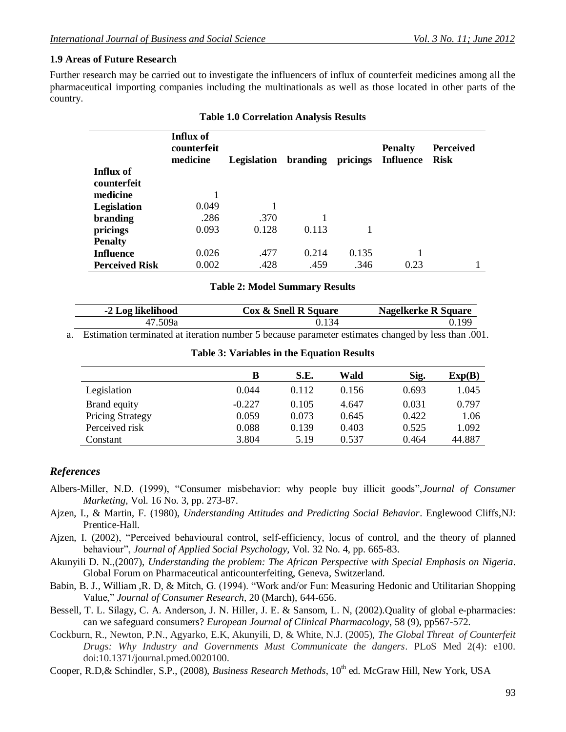## **1.9 Areas of Future Research**

Further research may be carried out to investigate the influencers of influx of counterfeit medicines among all the pharmaceutical importing companies including the multinationals as well as those located in other parts of the country.

|                       | Influx of<br>counterfeit<br>medicine | Legislation | branding | pricings | <b>Penalty</b><br><b>Influence</b> | <b>Perceived</b><br><b>Risk</b> |
|-----------------------|--------------------------------------|-------------|----------|----------|------------------------------------|---------------------------------|
| Influx of             |                                      |             |          |          |                                    |                                 |
| counterfeit           |                                      |             |          |          |                                    |                                 |
| medicine              |                                      |             |          |          |                                    |                                 |
| Legislation           | 0.049                                |             |          |          |                                    |                                 |
| branding              | .286                                 | .370        |          |          |                                    |                                 |
| pricings              | 0.093                                | 0.128       | 0.113    |          |                                    |                                 |
| <b>Penalty</b>        |                                      |             |          |          |                                    |                                 |
| <b>Influence</b>      | 0.026                                | .477        | 0.214    | 0.135    |                                    |                                 |
| <b>Perceived Risk</b> | 0.002                                | .428        | .459     | .346     | 0.23                               |                                 |

## **Table 1.0 Correlation Analysis Results**

#### **Table 2: Model Summary Results**

| -2 Log likelihood | Cox & Snell R Square | Nagelkerke R Square |
|-------------------|----------------------|---------------------|
| 47.509a           | 0.134                | 0.199               |

a. Estimation terminated at iteration number 5 because parameter estimates changed by less than .001.

| <b>Table 3: Variables in the Equation Results</b> |
|---------------------------------------------------|
|---------------------------------------------------|

|                         | в        | S.E.  | Wald  | Sig.  | Exp(B) |
|-------------------------|----------|-------|-------|-------|--------|
| Legislation             | 0.044    | 0.112 | 0.156 | 0.693 | 1.045  |
| Brand equity            | $-0.227$ | 0.105 | 4.647 | 0.031 | 0.797  |
| <b>Pricing Strategy</b> | 0.059    | 0.073 | 0.645 | 0.422 | 1.06   |
| Perceived risk          | 0.088    | 0.139 | 0.403 | 0.525 | 1.092  |
| Constant                | 3.804    | 5.19  | 0.537 | 0.464 | 44.887 |

## *References*

- Albers-Miller, N.D. (1999), "Consumer misbehavior: why people buy illicit goods",*Journal of Consumer Marketing*, Vol. 16 No. 3, pp. 273-87.
- Ajzen, I., & Martin, F. (1980), *Understanding Attitudes and Predicting Social Behavior*. Englewood Cliffs,NJ: Prentice-Hall.
- Ajzen, I. (2002), "Perceived behavioural control, self-efficiency, locus of control, and the theory of planned behaviour", *Journal of Applied Social Psychology*, Vol. 32 No. 4, pp. 665-83.
- Akunyili D. N.,(2007), *Understanding the problem: The African Perspective with Special Emphasis on Nigeria*. Global Forum on Pharmaceutical anticounterfeiting, Geneva, Switzerland.
- Babin, B. J., William ,R. D, & Mitch, G. (1994). "Work and/or Fun: Measuring Hedonic and Utilitarian Shopping Value," *Journal of Consumer Research*, 20 (March), 644-656.
- Bessell, T. L. Silagy, C. A. Anderson, J. N. Hiller, J. E. & Sansom, L. N, (2002).Quality of global e-pharmacies: can we safeguard consumers? *European Journal of Clinical Pharmacology*, 58 (9), pp567-572.
- Cockburn, R., Newton, P.N., Agyarko, E.K, Akunyili, D, & White, N.J. (2005), *The Global Threat of Counterfeit Drugs: Why Industry and Governments Must Communicate the dangers*. PLoS Med 2(4): e100. doi:10.1371/journal.pmed.0020100.
- Cooper, R.D,& Schindler, S.P., (2008), *Business Research Methods*, 10<sup>th</sup> ed. McGraw Hill, New York, USA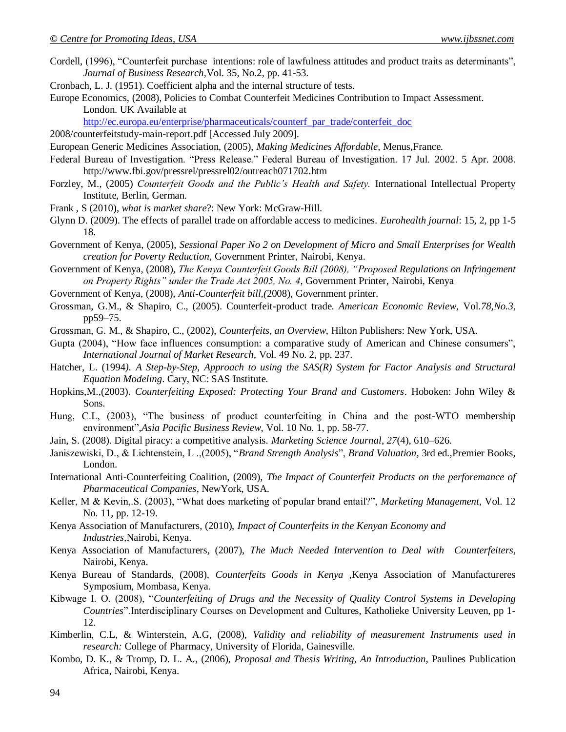- Cordell, (1996), "Counterfeit purchase intentions: role of lawfulness attitudes and product traits as determinants", *Journal of Business Research*,Vol. 35, No.2, pp. 41-53.
- Cronbach, L. J. (1951). Coefficient alpha and the internal structure of tests.
- Europe Economics, (2008), Policies to Combat Counterfeit Medicines Contribution to Impact Assessment. London. UK Available at

[http://ec.europa.eu/enterprise/pharmaceuticals/counterf\\_par\\_trade/conterfeit\\_doc](http://ec.europa.eu/enterprise/pharmaceuticals/counterf_par_trade/conterfeit_doc)

2008/counterfeitstudy-main-report.pdf [Accessed July 2009].

European Generic Medicines Association, (2005), *Making Medicines Affordable*, Menus,France.

- Federal Bureau of Investigation. "Press Release." Federal Bureau of Investigation. 17 Jul. 2002. 5 Apr. 2008. http://www.fbi.gov/pressrel/pressrel02/outreach071702.htm
- Forzley, M., (2005) *Counterfeit Goods and the Public's Health and Safety.* International Intellectual Property Institute, Berlin, German.
- Frank , S (2010), *what is market share*?: New York: McGraw-Hill.
- Glynn D. (2009). The effects of parallel trade on affordable access to medicines. *Eurohealth journal*: 15, 2, pp 1-5 18.
- Government of Kenya, (2005), *Sessional Paper No 2 on Development of Micro and Small Enterprises for Wealth creation for Poverty Reduction*, Government Printer, Nairobi, Kenya.
- Government of Kenya, (2008), *The Kenya Counterfeit Goods Bill (2008), "Proposed Regulations on Infringement on Property Rights" under the Trade Act 2005, No. 4*, Government Printer, Nairobi, Kenya
- Government of Kenya, (2008), *Anti-Counterfeit bill,(*2008), Government printer.
- Grossman, G.M., & Shapiro, C., (2005). Counterfeit-product trade. *American Economic Review*, Vol.*78,No.3*, pp59–75.
- Grossman, G. M., & Shapiro, C., (2002), *Counterfeits, an Overview*, Hilton Publishers: New York, USA.
- Gupta (2004), "How face influences consumption: a comparative study of American and Chinese consumers", *International Journal of Market Research,* Vol. 49 No. 2, pp. 237.
- Hatcher, L. (1994*). A Step-by-Step, Approach to using the SAS(R) System for Factor Analysis and Structural Equation Modeling*. Cary, NC: SAS Institute.
- Hopkins,M.,(2003). *Counterfeiting Exposed: Protecting Your Brand and Customers*. Hoboken: John Wiley & Sons.
- Hung, C.L, (2003), "The business of product counterfeiting in China and the post-WTO membership environment",*Asia Pacific Business Review*, Vol. 10 No. 1, pp. 58-77.
- Jain, S. (2008). Digital piracy: a competitive analysis. *Marketing Science Journal*, *27*(4), 610–626.
- Janiszewiski, D., & Lichtenstein, L .,(2005), "*Brand Strength Analysis*", *Brand Valuation*, 3rd ed.,Premier Books, London.
- International Anti-Counterfeiting Coalition, (2009), *The Impact of Counterfeit Products on the perforemance of Pharmaceutical Companies*, NewYork, USA.
- Keller, M & Kevin,.S. (2003), "What does marketing of popular brand entail?", *Marketing Management*, Vol. 12 No. 11, pp. 12-19.
- Kenya Association of Manufacturers, (2010), *Impact of Counterfeits in the Kenyan Economy and Industries,*Nairobi, Kenya.
- Kenya Association of Manufacturers, (2007), *The Much Needed Intervention to Deal with Counterfeiters,* Nairobi, Kenya.
- Kenya Bureau of Standards, (2008), *Counterfeits Goods in Kenya* ,Kenya Association of Manufactureres Symposium, Mombasa, Kenya.
- Kibwage I. O. (2008), "*Counterfeiting of Drugs and the Necessity of Quality Control Systems in Developing Countries*".Interdisciplinary Courses on Development and Cultures, Katholieke University Leuven, pp 1- 12.
- Kimberlin, C.L, & Winterstein, A.G, (2008), *Validity and reliability of measurement Instruments used in research:* College of Pharmacy, University of Florida, Gainesville.
- Kombo, D. K., & Tromp, D. L. A., (2006), *Proposal and Thesis Writing, An Introduction*, Paulines Publication Africa, Nairobi, Kenya.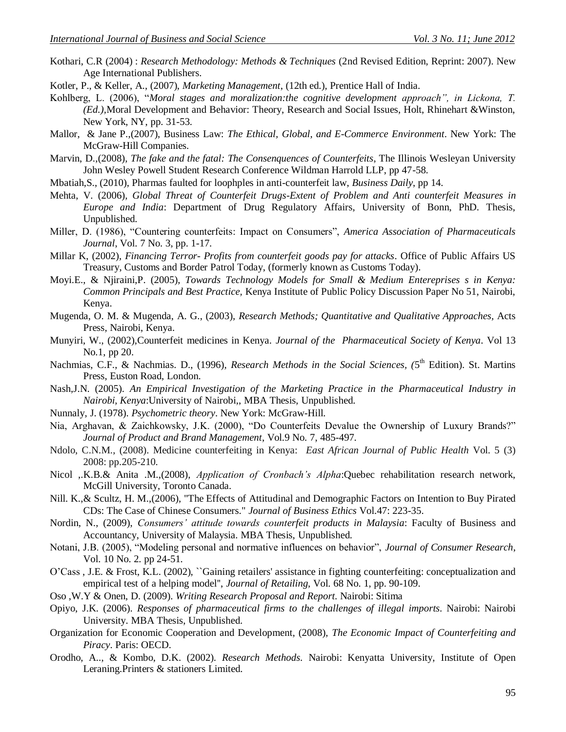- Kothari, C.R (2004) : *Research Methodology: Methods & Techniques* (2nd Revised Edition, Reprint: 2007). New Age International Publishers.
- Kotler, P., & Keller, A., (2007), *Marketing Management*, (12th ed.), Prentice Hall of India.
- Kohlberg, L. (2006), "*Moral stages and moralization:the cognitive development approach", in Lickona, T. (Ed.),*Moral Development and Behavior: Theory, Research and Social Issues, Holt, Rhinehart &Winston, New York, NY, pp. 31-53.
- Mallor, & Jane P.,(2007), Business Law: *The Ethical, Global, and E-Commerce Environment*. New York: The McGraw-Hill Companies.
- Marvin, D.,(2008), *The fake and the fatal: The Consenquences of Counterfeits*, The Illinois Wesleyan University John Wesley Powell Student Research Conference Wildman Harrold LLP, pp 47-58.
- Mbatiah,S., (2010), Pharmas faulted for loophples in anti-counterfeit law, *Business Daily*, pp 14.
- Mehta, V. (2006), *Global Threat of Counterfeit Drugs-Extent of Problem and Anti counterfeit Measures in Europe and India*: Department of Drug Regulatory Affairs, University of Bonn, PhD. Thesis, Unpublished.
- Miller, D. (1986), "Countering counterfeits: Impact on Consumers", *America Association of Pharmaceuticals Journal*, Vol. 7 No. 3, pp. 1-17.
- Millar K, (2002), *Financing Terror- Profits from counterfeit goods pay for attacks*. Office of Public Affairs US Treasury, Customs and Border Patrol Today, (formerly known as Customs Today).
- Moyi.E., & Njiraini,P. (2005), *Towards Technology Models for Small & Medium Entereprises s in Kenya: Common Principals and Best Practice,* Kenya Institute of Public Policy Discussion Paper No 51, Nairobi, Kenya.
- Mugenda, O. M. & Mugenda, A. G., (2003), *Research Methods; Quantitative and Qualitative Approaches,* Acts Press, Nairobi, Kenya.
- Munyiri, W., (2002),Counterfeit medicines in Kenya. *Journal of the Pharmaceutical Society of Kenya*. Vol 13 No.1, pp 20.
- Nachmias, C.F., & Nachmias. D., (1996), *Research Methods in the Social Sciences*, (5<sup>th</sup> Edition). St. Martins Press, Euston Road, London.
- Nash,J.N. (2005). *An Empirical Investigation of the Marketing Practice in the Pharmaceutical Industry in Nairobi, Kenya*:University of Nairobi,, MBA Thesis, Unpublished.
- Nunnaly, J. (1978). *Psychometric theory*. New York: McGraw-Hill.
- Nia, Arghavan, & Zaichkowsky, J.K. (2000), "Do Counterfeits Devalue the Ownership of Luxury Brands?" *Journal of Product and Brand Management*, Vol.9 No. 7, 485-497.
- Ndolo, C.N.M., (2008). Medicine counterfeiting in Kenya: *East African Journal of Public Health* Vol. 5 (3) 2008: pp.205-210.
- Nicol ,.K.B.& Anita .M.,(2008), *Application of Cronbach's Alpha*:Quebec rehabilitation research network, McGill University, Toronto Canada.
- Nill. K.,& Scultz, H. M.,(2006), "The Effects of Attitudinal and Demographic Factors on Intention to Buy Pirated CDs: The Case of Chinese Consumers." *Journal of Business Ethics* Vol.47: 223-35.
- Nordin, N., (2009), *Consumers' attitude towards counterfeit products in Malaysia*: Faculty of Business and Accountancy, University of Malaysia. MBA Thesis, Unpublished.
- Notani, J.B. (2005), "Modeling personal and normative influences on behavior", *Journal of Consumer Research*, Vol. 10 No. 2. pp 24-51.
- O"Cass , J.E. & Frost, K.L. (2002), ``Gaining retailers' assistance in fighting counterfeiting: conceptualization and empirical test of a helping model'', *Journal of Retailing*, Vol. 68 No. 1, pp. 90-109.
- Oso ,W.Y & Onen, D. (2009). *Writing Research Proposal and Report*. Nairobi: Sitima
- Opiyo, J.K. (2006). *Responses of pharmaceutical firms to the challenges of illegal imports*. Nairobi: Nairobi University. MBA Thesis, Unpublished.
- Organization for Economic Cooperation and Development, (2008), *The Economic Impact of Counterfeiting and Piracy*. Paris: OECD.
- Orodho, A.., & Kombo, D.K. (2002). *Research Methods.* Nairobi: Kenyatta University, Institute of Open Leraning.Printers & stationers Limited.